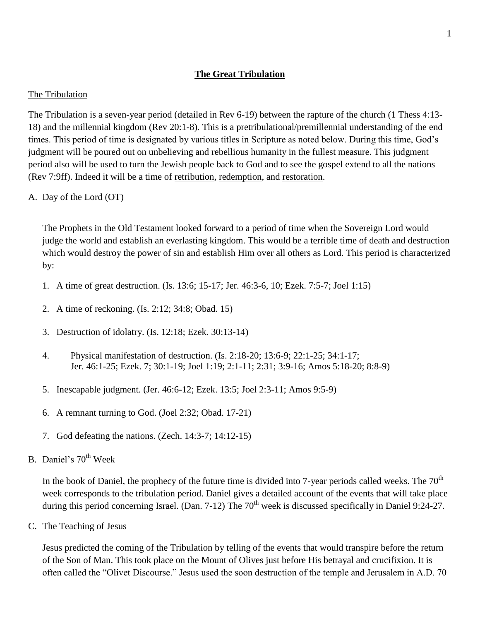# **The Great Tribulation**

#### The Tribulation

The Tribulation is a seven-year period (detailed in Rev 6-19) between the rapture of the church (1 Thess 4:13- 18) and the millennial kingdom (Rev 20:1-8). This is a pretribulational/premillennial understanding of the end times. This period of time is designated by various titles in Scripture as noted below. During this time, God's judgment will be poured out on unbelieving and rebellious humanity in the fullest measure. This judgment period also will be used to turn the Jewish people back to God and to see the gospel extend to all the nations (Rev 7:9ff). Indeed it will be a time of retribution, redemption, and restoration.

A. Day of the Lord (OT)

The Prophets in the Old Testament looked forward to a period of time when the Sovereign Lord would judge the world and establish an everlasting kingdom. This would be a terrible time of death and destruction which would destroy the power of sin and establish Him over all others as Lord. This period is characterized by:

- 1. A time of great destruction. (Is. 13:6; 15-17; Jer. 46:3-6, 10; Ezek. 7:5-7; Joel 1:15)
- 2. A time of reckoning. (Is. 2:12; 34:8; Obad. 15)
- 3. Destruction of idolatry. (Is. 12:18; Ezek. 30:13-14)
- 4. Physical manifestation of destruction. (Is. 2:18-20; 13:6-9; 22:1-25; 34:1-17; Jer. 46:1-25; Ezek. 7; 30:1-19; Joel 1:19; 2:1-11; 2:31; 3:9-16; Amos 5:18-20; 8:8-9)
- 5. Inescapable judgment. (Jer. 46:6-12; Ezek. 13:5; Joel 2:3-11; Amos 9:5-9)
- 6. A remnant turning to God. (Joel 2:32; Obad. 17-21)
- 7. God defeating the nations. (Zech. 14:3-7; 14:12-15)
- B. Daniel's 70<sup>th</sup> Week

In the book of Daniel, the prophecy of the future time is divided into 7-year periods called weeks. The  $70<sup>th</sup>$ week corresponds to the tribulation period. Daniel gives a detailed account of the events that will take place during this period concerning Israel. (Dan.  $7-12$ ) The  $70<sup>th</sup>$  week is discussed specifically in Daniel 9:24-27.

C. The Teaching of Jesus

Jesus predicted the coming of the Tribulation by telling of the events that would transpire before the return of the Son of Man. This took place on the Mount of Olives just before His betrayal and crucifixion. It is often called the "Olivet Discourse." Jesus used the soon destruction of the temple and Jerusalem in A.D. 70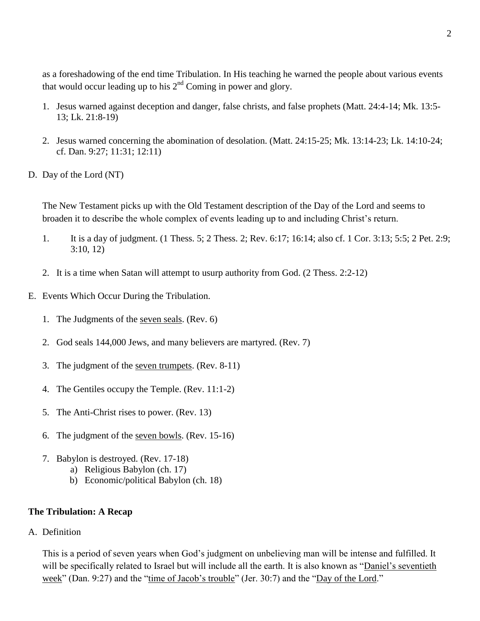as a foreshadowing of the end time Tribulation. In His teaching he warned the people about various events that would occur leading up to his  $2<sup>nd</sup>$  Coming in power and glory.

- 1. Jesus warned against deception and danger, false christs, and false prophets (Matt. 24:4-14; Mk. 13:5- 13; Lk. 21:8-19)
- 2. Jesus warned concerning the abomination of desolation. (Matt. 24:15-25; Mk. 13:14-23; Lk. 14:10-24; cf. Dan. 9:27; 11:31; 12:11)
- D. Day of the Lord (NT)

The New Testament picks up with the Old Testament description of the Day of the Lord and seems to broaden it to describe the whole complex of events leading up to and including Christ's return.

- 1. It is a day of judgment. (1 Thess. 5; 2 Thess. 2; Rev. 6:17; 16:14; also cf. 1 Cor. 3:13; 5:5; 2 Pet. 2:9; 3:10, 12)
- 2. It is a time when Satan will attempt to usurp authority from God. (2 Thess. 2:2-12)
- E. Events Which Occur During the Tribulation.
	- 1. The Judgments of the seven seals. (Rev. 6)
	- 2. God seals 144,000 Jews, and many believers are martyred. (Rev. 7)
	- 3. The judgment of the seven trumpets. (Rev. 8-11)
	- 4. The Gentiles occupy the Temple. (Rev. 11:1-2)
	- 5. The Anti-Christ rises to power. (Rev. 13)
	- 6. The judgment of the seven bowls. (Rev. 15-16)
	- 7. Babylon is destroyed. (Rev. 17-18)
		- a) Religious Babylon (ch. 17)
		- b) Economic/political Babylon (ch. 18)

## **The Tribulation: A Recap**

A. Definition

This is a period of seven years when God's judgment on unbelieving man will be intense and fulfilled. It will be specifically related to Israel but will include all the earth. It is also known as "Daniel's seventieth week" (Dan. 9:27) and the "time of Jacob's trouble" (Jer. 30:7) and the "Day of the Lord."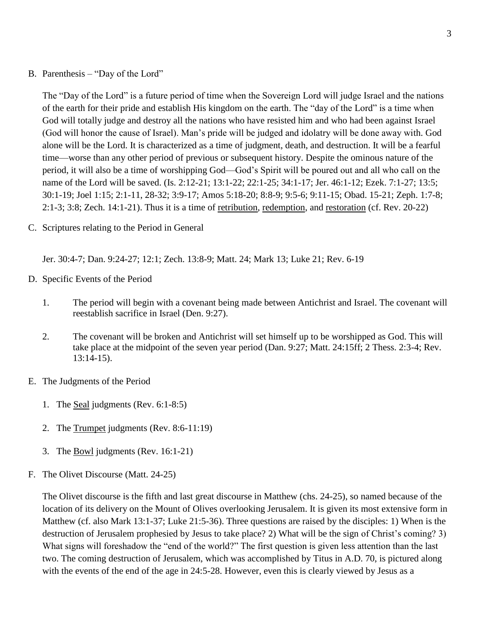B. Parenthesis – "Day of the Lord"

The "Day of the Lord" is a future period of time when the Sovereign Lord will judge Israel and the nations of the earth for their pride and establish His kingdom on the earth. The "day of the Lord" is a time when God will totally judge and destroy all the nations who have resisted him and who had been against Israel (God will honor the cause of Israel). Man's pride will be judged and idolatry will be done away with. God alone will be the Lord. It is characterized as a time of judgment, death, and destruction. It will be a fearful time—worse than any other period of previous or subsequent history. Despite the ominous nature of the period, it will also be a time of worshipping God—God's Spirit will be poured out and all who call on the name of the Lord will be saved. (Is. 2:12-21; 13:1-22; 22:1-25; 34:1-17; Jer. 46:1-12; Ezek. 7:1-27; 13:5; 30:1-19; Joel 1:15; 2:1-11, 28-32; 3:9-17; Amos 5:18-20; 8:8-9; 9:5-6; 9:11-15; Obad. 15-21; Zeph. 1:7-8; 2:1-3; 3:8; Zech. 14:1-21). Thus it is a time of retribution, redemption, and restoration (cf. Rev. 20-22)

C. Scriptures relating to the Period in General

Jer. 30:4-7; Dan. 9:24-27; 12:1; Zech. 13:8-9; Matt. 24; Mark 13; Luke 21; Rev. 6-19

- D. Specific Events of the Period
	- 1. The period will begin with a covenant being made between Antichrist and Israel. The covenant will reestablish sacrifice in Israel (Den. 9:27).
	- 2. The covenant will be broken and Antichrist will set himself up to be worshipped as God. This will take place at the midpoint of the seven year period (Dan. 9:27; Matt. 24:15ff; 2 Thess. 2:3-4; Rev. 13:14-15).
- E. The Judgments of the Period
	- 1. The Seal judgments (Rev. 6:1-8:5)
	- 2. The Trumpet judgments (Rev. 8:6-11:19)
	- 3. The Bowl judgments (Rev. 16:1-21)
- F. The Olivet Discourse (Matt. 24-25)

The Olivet discourse is the fifth and last great discourse in Matthew (chs. 24-25), so named because of the location of its delivery on the Mount of Olives overlooking Jerusalem. It is given its most extensive form in Matthew (cf. also Mark 13:1-37; Luke 21:5-36). Three questions are raised by the disciples: 1) When is the destruction of Jerusalem prophesied by Jesus to take place? 2) What will be the sign of Christ's coming? 3) What signs will foreshadow the "end of the world?" The first question is given less attention than the last two. The coming destruction of Jerusalem, which was accomplished by Titus in A.D. 70, is pictured along with the events of the end of the age in 24:5-28. However, even this is clearly viewed by Jesus as a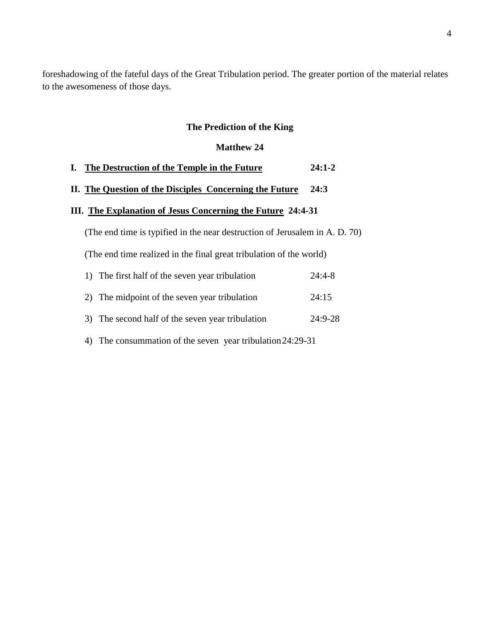foreshadowing of the fateful days of the Great Tribulation period. The greater portion of the material relates to the awesomeness of those days.

## **The Prediction of the King**

#### **Matthew 24**

## **I. The Destruction of the Temple in the Future 24:1-2**

# **II. The Question of the Disciples Concerning the Future 24:3**

## **III. The Explanation of Jesus Concerning the Future 24:4-31**

(The end time is typified in the near destruction of Jerusalem in A. D. 70)

(The end time realized in the final great tribulation of the world)

| 1) The first half of the seven year tribulation  | $24:4-8$  |
|--------------------------------------------------|-----------|
| 2) The midpoint of the seven year tribulation    | 24:15     |
| 3) The second half of the seven year tribulation | $24:9-28$ |

4) The consummation of the seven year tribulation24:29-31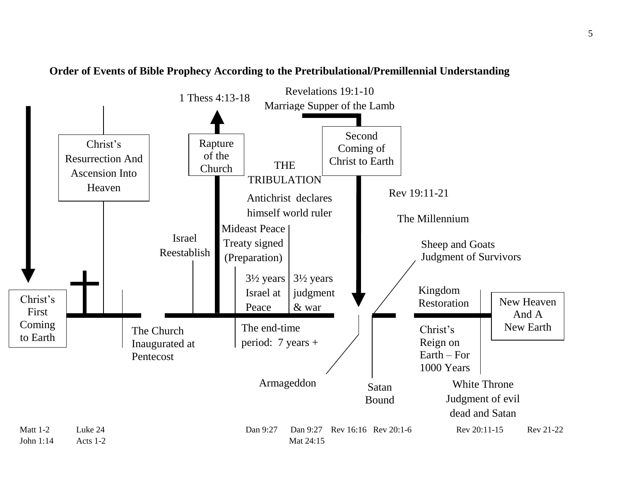

**Order of Events of Bible Prophecy According to the Pretribulational/Premillennial Understanding**